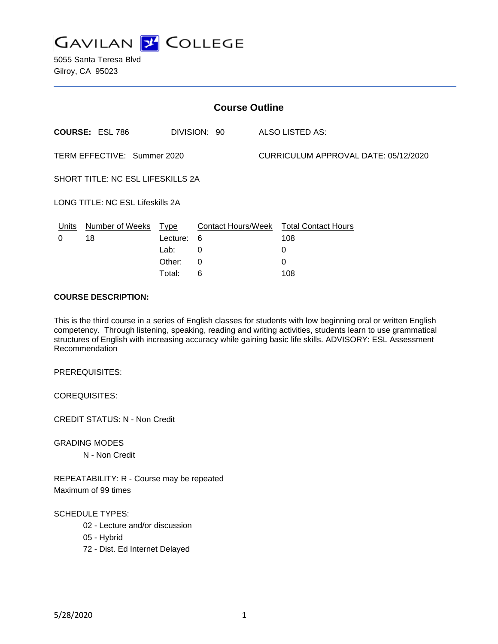

| <b>Course Outline</b>                    |                        |          |              |  |                                        |  |
|------------------------------------------|------------------------|----------|--------------|--|----------------------------------------|--|
|                                          | <b>COURSE: ESL 786</b> |          | DIVISION: 90 |  | ALSO LISTED AS:                        |  |
| TERM EFFECTIVE: Summer 2020              |                        |          |              |  | CURRICULUM APPROVAL DATE: 05/12/2020   |  |
| <b>SHORT TITLE: NC ESL LIFESKILLS 2A</b> |                        |          |              |  |                                        |  |
| <b>LONG TITLE: NC ESL Lifeskills 2A</b>  |                        |          |              |  |                                        |  |
| Units                                    | Number of Weeks Type   |          |              |  | Contact Hours/Week Total Contact Hours |  |
| 0                                        | 18                     | Lecture: | 6            |  | 108                                    |  |
|                                          |                        | Lab:     | $\Omega$     |  | 0                                      |  |
|                                          |                        | Other:   | $\Omega$     |  | $\Omega$                               |  |
|                                          |                        | Total:   | 6            |  | 108                                    |  |

### **COURSE DESCRIPTION:**

This is the third course in a series of English classes for students with low beginning oral or written English competency. Through listening, speaking, reading and writing activities, students learn to use grammatical structures of English with increasing accuracy while gaining basic life skills. ADVISORY: ESL Assessment Recommendation

PREREQUISITES:

COREQUISITES:

CREDIT STATUS: N - Non Credit

GRADING MODES

N - Non Credit

REPEATABILITY: R - Course may be repeated Maximum of 99 times

SCHEDULE TYPES:

02 - Lecture and/or discussion

05 - Hybrid

72 - Dist. Ed Internet Delayed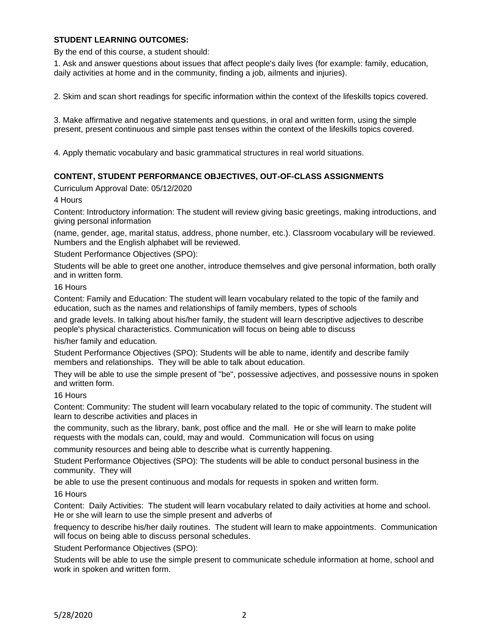### **STUDENT LEARNING OUTCOMES:**

By the end of this course, a student should:

1. Ask and answer questions about issues that affect people's daily lives (for example: family, education, daily activities at home and in the community, finding a job, ailments and injuries).

2. Skim and scan short readings for specific information within the context of the lifeskills topics covered.

3. Make affirmative and negative statements and questions, in oral and written form, using the simple present, present continuous and simple past tenses within the context of the lifeskills topics covered.

4. Apply thematic vocabulary and basic grammatical structures in real world situations.

#### **CONTENT, STUDENT PERFORMANCE OBJECTIVES, OUT-OF-CLASS ASSIGNMENTS**

Curriculum Approval Date: 05/12/2020

4 Hours

Content: Introductory information: The student will review giving basic greetings, making introductions, and giving personal information

(name, gender, age, marital status, address, phone number, etc.). Classroom vocabulary will be reviewed. Numbers and the English alphabet will be reviewed.

Student Performance Objectives (SPO):

Students will be able to greet one another, introduce themselves and give personal information, both orally and in written form.

16 Hours

Content: Family and Education: The student will learn vocabulary related to the topic of the family and education, such as the names and relationships of family members, types of schools

and grade levels. In talking about his/her family, the student will learn descriptive adjectives to describe people's physical characteristics. Communication will focus on being able to discuss

his/her family and education.

Student Performance Objectives (SPO): Students will be able to name, identify and describe family members and relationships. They will be able to talk about education.

They will be able to use the simple present of "be", possessive adjectives, and possessive nouns in spoken and written form.

16 Hours

Content: Community: The student will learn vocabulary related to the topic of community. The student will learn to describe activities and places in

the community, such as the library, bank, post office and the mall. He or she will learn to make polite requests with the modals can, could, may and would. Communication will focus on using

community resources and being able to describe what is currently happening.

Student Performance Objectives (SPO): The students will be able to conduct personal business in the community. They will

be able to use the present continuous and modals for requests in spoken and written form.

16 Hours

Content: Daily Activities: The student will learn vocabulary related to daily activities at home and school. He or she will learn to use the simple present and adverbs of

frequency to describe his/her daily routines. The student will learn to make appointments. Communication will focus on being able to discuss personal schedules.

Student Performance Objectives (SPO):

Students will be able to use the simple present to communicate schedule information at home, school and work in spoken and written form.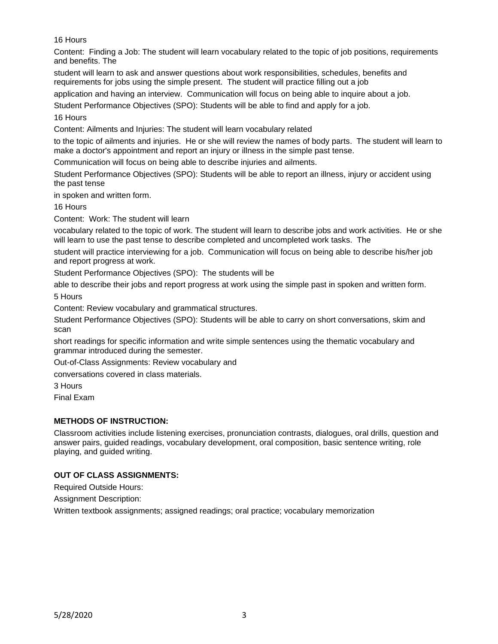16 Hours

Content: Finding a Job: The student will learn vocabulary related to the topic of job positions, requirements and benefits. The

student will learn to ask and answer questions about work responsibilities, schedules, benefits and requirements for jobs using the simple present. The student will practice filling out a job

application and having an interview. Communication will focus on being able to inquire about a job.

Student Performance Objectives (SPO): Students will be able to find and apply for a job.

16 Hours

Content: Ailments and Injuries: The student will learn vocabulary related

to the topic of ailments and injuries. He or she will review the names of body parts. The student will learn to make a doctor's appointment and report an injury or illness in the simple past tense.

Communication will focus on being able to describe injuries and ailments.

Student Performance Objectives (SPO): Students will be able to report an illness, injury or accident using the past tense

in spoken and written form.

16 Hours

Content: Work: The student will learn

vocabulary related to the topic of work. The student will learn to describe jobs and work activities. He or she will learn to use the past tense to describe completed and uncompleted work tasks. The

student will practice interviewing for a job. Communication will focus on being able to describe his/her job and report progress at work.

Student Performance Objectives (SPO): The students will be

able to describe their jobs and report progress at work using the simple past in spoken and written form. 5 Hours

Content: Review vocabulary and grammatical structures.

Student Performance Objectives (SPO): Students will be able to carry on short conversations, skim and scan

short readings for specific information and write simple sentences using the thematic vocabulary and grammar introduced during the semester.

Out-of-Class Assignments: Review vocabulary and

conversations covered in class materials.

3 Hours

Final Exam

# **METHODS OF INSTRUCTION:**

Classroom activities include listening exercises, pronunciation contrasts, dialogues, oral drills, question and answer pairs, guided readings, vocabulary development, oral composition, basic sentence writing, role playing, and guided writing.

# **OUT OF CLASS ASSIGNMENTS:**

Required Outside Hours:

Assignment Description:

Written textbook assignments; assigned readings; oral practice; vocabulary memorization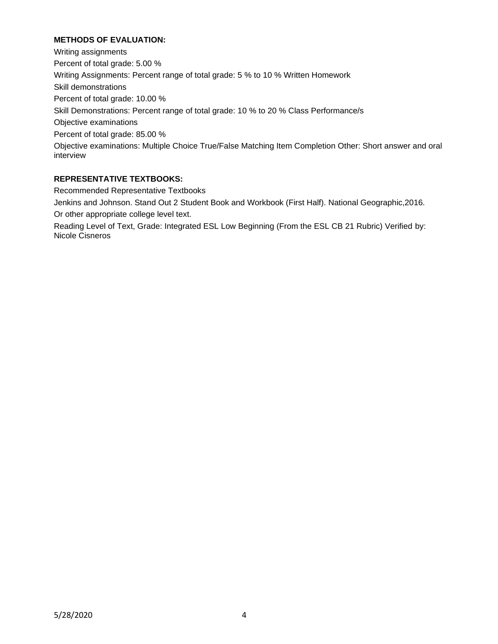## **METHODS OF EVALUATION:**

Writing assignments Percent of total grade: 5.00 % Writing Assignments: Percent range of total grade: 5 % to 10 % Written Homework Skill demonstrations Percent of total grade: 10.00 % Skill Demonstrations: Percent range of total grade: 10 % to 20 % Class Performance/s Objective examinations Percent of total grade: 85.00 % Objective examinations: Multiple Choice True/False Matching Item Completion Other: Short answer and oral interview

## **REPRESENTATIVE TEXTBOOKS:**

Recommended Representative Textbooks

Jenkins and Johnson. Stand Out 2 Student Book and Workbook (First Half). National Geographic,2016. Or other appropriate college level text.

Reading Level of Text, Grade: Integrated ESL Low Beginning (From the ESL CB 21 Rubric) Verified by: Nicole Cisneros